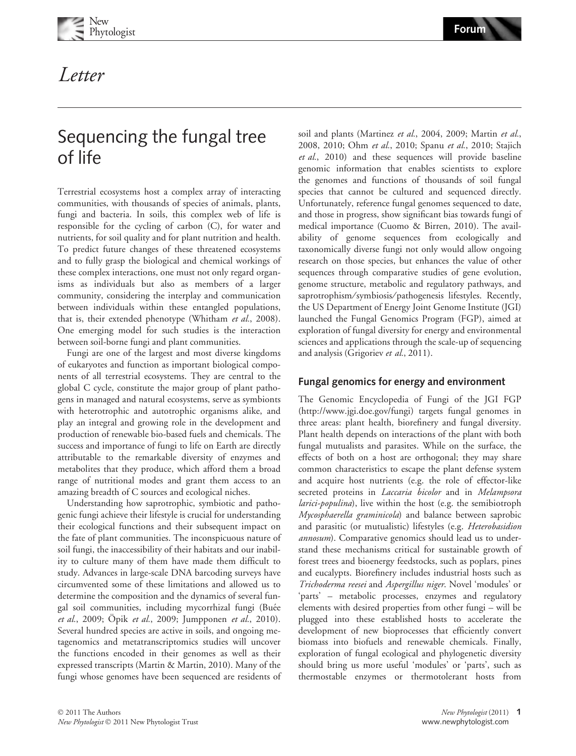

# Letter

# Sequencing the fungal tree of life

Terrestrial ecosystems host a complex array of interacting communities, with thousands of species of animals, plants, fungi and bacteria. In soils, this complex web of life is responsible for the cycling of carbon (C), for water and nutrients, for soil quality and for plant nutrition and health. To predict future changes of these threatened ecosystems and to fully grasp the biological and chemical workings of these complex interactions, one must not only regard organisms as individuals but also as members of a larger community, considering the interplay and communication between individuals within these entangled populations, that is, their extended phenotype (Whitham et al., 2008). One emerging model for such studies is the interaction between soil-borne fungi and plant communities.

Fungi are one of the largest and most diverse kingdoms of eukaryotes and function as important biological components of all terrestrial ecosystems. They are central to the global C cycle, constitute the major group of plant pathogens in managed and natural ecosystems, serve as symbionts with heterotrophic and autotrophic organisms alike, and play an integral and growing role in the development and production of renewable bio-based fuels and chemicals. The success and importance of fungi to life on Earth are directly attributable to the remarkable diversity of enzymes and metabolites that they produce, which afford them a broad range of nutritional modes and grant them access to an amazing breadth of C sources and ecological niches.

Understanding how saprotrophic, symbiotic and pathogenic fungi achieve their lifestyle is crucial for understanding their ecological functions and their subsequent impact on the fate of plant communities. The inconspicuous nature of soil fungi, the inaccessibility of their habitats and our inability to culture many of them have made them difficult to study. Advances in large-scale DNA barcoding surveys have circumvented some of these limitations and allowed us to determine the composition and the dynamics of several fungal soil communities, including mycorrhizal fungi (Buée et al., 2009; Öpik et al., 2009; Jumpponen et al., 2010). Several hundred species are active in soils, and ongoing metagenomics and metatranscriptomics studies will uncover the functions encoded in their genomes as well as their expressed transcripts (Martin & Martin, 2010). Many of the fungi whose genomes have been sequenced are residents of



soil and plants (Martinez et al., 2004, 2009; Martin et al., 2008, 2010; Ohm et al., 2010; Spanu et al., 2010; Stajich et al., 2010) and these sequences will provide baseline genomic information that enables scientists to explore the genomes and functions of thousands of soil fungal species that cannot be cultured and sequenced directly. Unfortunately, reference fungal genomes sequenced to date, and those in progress, show significant bias towards fungi of medical importance (Cuomo & Birren, 2010). The availability of genome sequences from ecologically and taxonomically diverse fungi not only would allow ongoing research on those species, but enhances the value of other sequences through comparative studies of gene evolution, genome structure, metabolic and regulatory pathways, and saprotrophism/symbiosis/pathogenesis lifestyles. Recently, the US Department of Energy Joint Genome Institute (JGI) launched the Fungal Genomics Program (FGP), aimed at exploration of fungal diversity for energy and environmental sciences and applications through the scale-up of sequencing and analysis (Grigoriev et al., 2011).

#### Fungal genomics for energy and environment

The Genomic Encyclopedia of Fungi of the JGI FGP (http://www.jgi.doe.gov/fungi) targets fungal genomes in three areas: plant health, biorefinery and fungal diversity. Plant health depends on interactions of the plant with both fungal mutualists and parasites. While on the surface, the effects of both on a host are orthogonal; they may share common characteristics to escape the plant defense system and acquire host nutrients (e.g. the role of effector-like secreted proteins in *Laccaria bicolor* and in *Melampsora* larici-populina), live within the host (e.g. the semibiotroph Mycosphaerella graminicola) and balance between saprobic and parasitic (or mutualistic) lifestyles (e.g. Heterobasidion annosum). Comparative genomics should lead us to understand these mechanisms critical for sustainable growth of forest trees and bioenergy feedstocks, such as poplars, pines and eucalypts. Biorefinery includes industrial hosts such as Trichoderma reesei and Aspergillus niger. Novel 'modules' or 'parts' – metabolic processes, enzymes and regulatory elements with desired properties from other fungi – will be plugged into these established hosts to accelerate the development of new bioprocesses that efficiently convert biomass into biofuels and renewable chemicals. Finally, exploration of fungal ecological and phylogenetic diversity should bring us more useful 'modules' or 'parts', such as thermostable enzymes or thermotolerant hosts from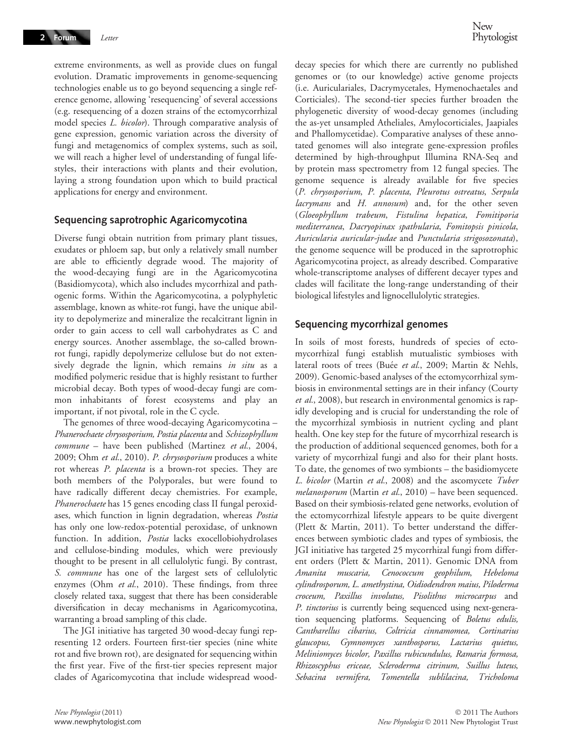extreme environments, as well as provide clues on fungal evolution. Dramatic improvements in genome-sequencing technologies enable us to go beyond sequencing a single reference genome, allowing 'resequencing' of several accessions (e.g. resequencing of a dozen strains of the ectomycorrhizal model species L. bicolor). Through comparative analysis of gene expression, genomic variation across the diversity of fungi and metagenomics of complex systems, such as soil, we will reach a higher level of understanding of fungal lifestyles, their interactions with plants and their evolution, laying a strong foundation upon which to build practical applications for energy and environment.

### Sequencing saprotrophic Agaricomycotina

Diverse fungi obtain nutrition from primary plant tissues, exudates or phloem sap, but only a relatively small number are able to efficiently degrade wood. The majority of the wood-decaying fungi are in the Agaricomycotina (Basidiomycota), which also includes mycorrhizal and pathogenic forms. Within the Agaricomycotina, a polyphyletic assemblage, known as white-rot fungi, have the unique ability to depolymerize and mineralize the recalcitrant lignin in order to gain access to cell wall carbohydrates as C and energy sources. Another assemblage, the so-called brownrot fungi, rapidly depolymerize cellulose but do not extensively degrade the lignin, which remains in situ as a modified polymeric residue that is highly resistant to further microbial decay. Both types of wood-decay fungi are common inhabitants of forest ecosystems and play an important, if not pivotal, role in the C cycle.

The genomes of three wood-decaying Agaricomycotina – Phanerochaete chrysosporium, Postia placenta and Schizophyllum commune – have been published (Martinez et al., 2004, 2009; Ohm et al., 2010). P. chrysosporium produces a white rot whereas P. placenta is a brown-rot species. They are both members of the Polyporales, but were found to have radically different decay chemistries. For example, Phanerochaete has 15 genes encoding class II fungal peroxidases, which function in lignin degradation, whereas Postia has only one low-redox-potential peroxidase, of unknown function. In addition, Postia lacks exocellobiohydrolases and cellulose-binding modules, which were previously thought to be present in all cellulolytic fungi. By contrast, S. commune has one of the largest sets of cellulolytic enzymes (Ohm et al., 2010). These findings, from three closely related taxa, suggest that there has been considerable diversification in decay mechanisms in Agaricomycotina, warranting a broad sampling of this clade.

The JGI initiative has targeted 30 wood-decay fungi representing 12 orders. Fourteen first-tier species (nine white rot and five brown rot), are designated for sequencing within the first year. Five of the first-tier species represent major clades of Agaricomycotina that include widespread wooddecay species for which there are currently no published genomes or (to our knowledge) active genome projects (i.e. Auriculariales, Dacrymycetales, Hymenochaetales and Corticiales). The second-tier species further broaden the phylogenetic diversity of wood-decay genomes (including the as-yet unsampled Atheliales, Amylocorticiales, Jaapiales and Phallomycetidae). Comparative analyses of these annotated genomes will also integrate gene-expression profiles determined by high-throughput Illumina RNA-Seq and by protein mass spectrometry from 12 fungal species. The genome sequence is already available for five species (P. chrysosporium, P. placenta, Pleurotus ostreatus, Serpula lacrymans and H. annosum) and, for the other seven (Gloeophyllum trabeum, Fistulina hepatica, Fomitiporia mediterranea, Dacryopinax spathularia, Fomitopsis pinicola, Auricularia auricular-judae and Punctularia strigosozonata), the genome sequence will be produced in the saprotrophic Agaricomycotina project, as already described. Comparative whole-transcriptome analyses of different decayer types and clades will facilitate the long-range understanding of their biological lifestyles and lignocellulolytic strategies.

## Sequencing mycorrhizal genomes

In soils of most forests, hundreds of species of ectomycorrhizal fungi establish mutualistic symbioses with lateral roots of trees (Buée et al., 2009; Martin & Nehls, 2009). Genomic-based analyses of the ectomycorrhizal symbiosis in environmental settings are in their infancy (Courty et al., 2008), but research in environmental genomics is rapidly developing and is crucial for understanding the role of the mycorrhizal symbiosis in nutrient cycling and plant health. One key step for the future of mycorrhizal research is the production of additional sequenced genomes, both for a variety of mycorrhizal fungi and also for their plant hosts. To date, the genomes of two symbionts – the basidiomycete L. bicolor (Martin et al., 2008) and the ascomycete Tuber melanosporum (Martin et al., 2010) – have been sequenced. Based on their symbiosis-related gene networks, evolution of the ectomycorrhizal lifestyle appears to be quite divergent (Plett & Martin, 2011). To better understand the differences between symbiotic clades and types of symbiosis, the JGI initiative has targeted 25 mycorrhizal fungi from different orders (Plett & Martin, 2011). Genomic DNA from Amanita muscaria, Cenococcum geophilum, Hebeloma cylindrosporum, L. amethystina, Oidiodendron maius, Piloderma croceum, Paxillus involutus, Pisolithus microcarpus and P. tinctorius is currently being sequenced using next-generation sequencing platforms. Sequencing of Boletus edulis, Cantharellus cibarius, Coltricia cinnamomea, Cortinarius glaucopus, Gymnomyces xanthosporus, Lactarius quietus, Meliniomyces bicolor, Paxillus rubicundulus, Ramaria formosa, Rhizoscyphus ericeae, Scleroderma citrinum, Suillus luteus, Sebacina vermifera, Tomentella sublilacina, Tricholoma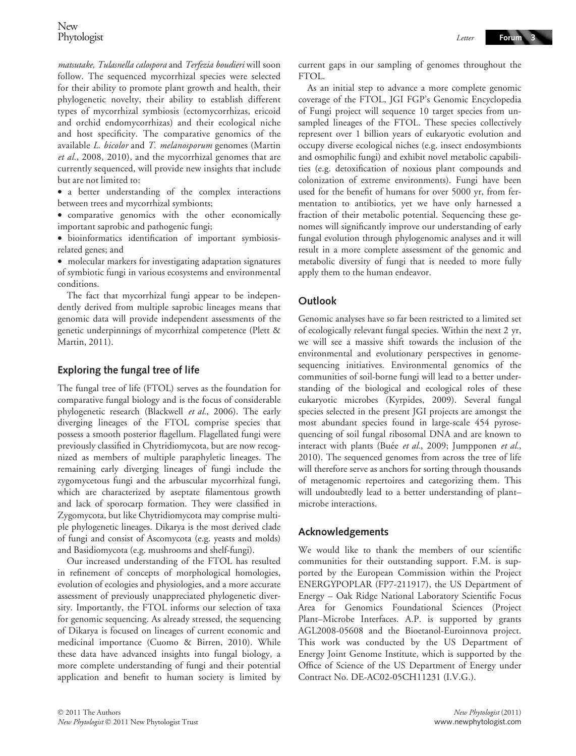matsutake, Tulasnella calospora and Terfezia boudieri will soon follow. The sequenced mycorrhizal species were selected for their ability to promote plant growth and health, their phylogenetic novelty, their ability to establish different types of mycorrhizal symbiosis (ectomycorrhizas, ericoid and orchid endomycorrhizas) and their ecological niche and host specificity. The comparative genomics of the available L. bicolor and T. melanosporum genomes (Martin et al., 2008, 2010), and the mycorrhizal genomes that are currently sequenced, will provide new insights that include but are not limited to:

• a better understanding of the complex interactions between trees and mycorrhizal symbionts;

• comparative genomics with the other economically important saprobic and pathogenic fungi;

• bioinformatics identification of important symbiosisrelated genes; and

• molecular markers for investigating adaptation signatures of symbiotic fungi in various ecosystems and environmental conditions.

The fact that mycorrhizal fungi appear to be independently derived from multiple saprobic lineages means that genomic data will provide independent assessments of the genetic underpinnings of mycorrhizal competence (Plett & Martin, 2011).

## Exploring the fungal tree of life

The fungal tree of life (FTOL) serves as the foundation for comparative fungal biology and is the focus of considerable phylogenetic research (Blackwell et al., 2006). The early diverging lineages of the FTOL comprise species that possess a smooth posterior flagellum. Flagellated fungi were previously classified in Chytridiomycota, but are now recognized as members of multiple paraphyletic lineages. The remaining early diverging lineages of fungi include the zygomycetous fungi and the arbuscular mycorrhizal fungi, which are characterized by aseptate filamentous growth and lack of sporocarp formation. They were classified in Zygomycota, but like Chytridiomycota may comprise multiple phylogenetic lineages. Dikarya is the most derived clade of fungi and consist of Ascomycota (e.g. yeasts and molds) and Basidiomycota (e.g. mushrooms and shelf-fungi).

Our increased understanding of the FTOL has resulted in refinement of concepts of morphological homologies, evolution of ecologies and physiologies, and a more accurate assessment of previously unappreciated phylogenetic diversity. Importantly, the FTOL informs our selection of taxa for genomic sequencing. As already stressed, the sequencing of Dikarya is focused on lineages of current economic and medicinal importance (Cuomo & Birren, 2010). While these data have advanced insights into fungal biology, a more complete understanding of fungi and their potential application and benefit to human society is limited by current gaps in our sampling of genomes throughout the FTOL.

As an initial step to advance a more complete genomic coverage of the FTOL, JGI FGP's Genomic Encyclopedia of Fungi project will sequence 10 target species from unsampled lineages of the FTOL. These species collectively represent over 1 billion years of eukaryotic evolution and occupy diverse ecological niches (e.g. insect endosymbionts and osmophilic fungi) and exhibit novel metabolic capabilities (e.g. detoxification of noxious plant compounds and colonization of extreme environments). Fungi have been used for the benefit of humans for over 5000 yr, from fermentation to antibiotics, yet we have only harnessed a fraction of their metabolic potential. Sequencing these genomes will significantly improve our understanding of early fungal evolution through phylogenomic analyses and it will result in a more complete assessment of the genomic and metabolic diversity of fungi that is needed to more fully apply them to the human endeavor.

# **Outlook**

Genomic analyses have so far been restricted to a limited set of ecologically relevant fungal species. Within the next 2 yr, we will see a massive shift towards the inclusion of the environmental and evolutionary perspectives in genomesequencing initiatives. Environmental genomics of the communities of soil-borne fungi will lead to a better understanding of the biological and ecological roles of these eukaryotic microbes (Kyrpides, 2009). Several fungal species selected in the present JGI projects are amongst the most abundant species found in large-scale 454 pyrosequencing of soil fungal ribosomal DNA and are known to interact with plants (Buée et al., 2009; Jumpponen et al., 2010). The sequenced genomes from across the tree of life will therefore serve as anchors for sorting through thousands of metagenomic repertoires and categorizing them. This will undoubtedly lead to a better understanding of plant– microbe interactions.

### Acknowledgements

We would like to thank the members of our scientific communities for their outstanding support. F.M. is supported by the European Commission within the Project ENERGYPOPLAR (FP7-211917), the US Department of Energy – Oak Ridge National Laboratory Scientific Focus Area for Genomics Foundational Sciences (Project Plant–Microbe Interfaces. A.P. is supported by grants AGL2008-05608 and the Bioetanol-Euroinnova project. This work was conducted by the US Department of Energy Joint Genome Institute, which is supported by the Office of Science of the US Department of Energy under Contract No. DE-AC02-05CH11231 (I.V.G.).